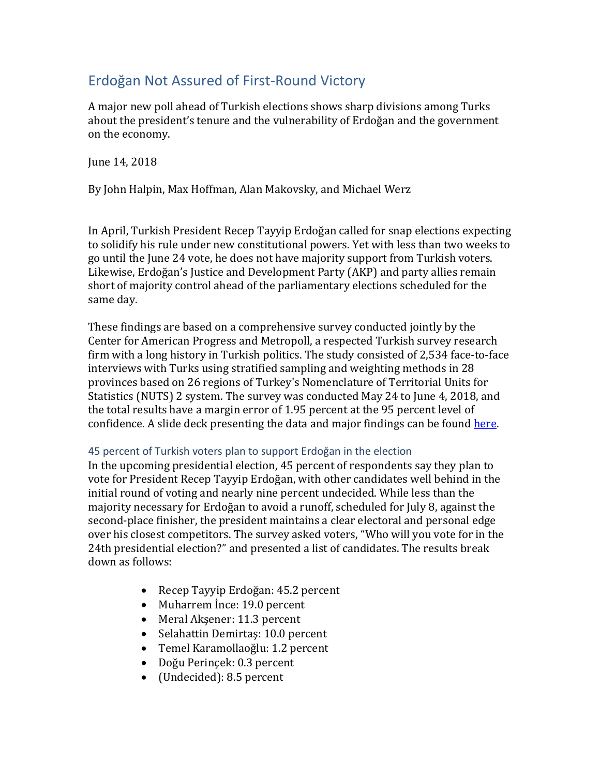# Erdoğan Not Assured of First-Round Victory

A major new poll ahead of Turkish elections shows sharp divisions among Turks about the president's tenure and the vulnerability of Erdoğan and the government on the economy.

June 14, 2018

By John Halpin, Max Hoffman, Alan Makovsky, and Michael Werz

In April, Turkish President Recep Tayyip Erdoğan called for snap elections expecting to solidify his rule under new constitutional powers. Yet with less than two weeks to go until the June 24 vote, he does not have majority support from Turkish voters. Likewise, Erdoğan's Justice and Development Party (AKP) and party allies remain short of majority control ahead of the parliamentary elections scheduled for the same day.

These findings are based on a comprehensive survey conducted jointly by the Center for American Progress and Metropoll, a respected Turkish survey research firm with a long history in Turkish politics. The study consisted of 2,534 face-to-face interviews with Turks using stratified sampling and weighting methods in 28 provinces based on 26 regions of Turkey's Nomenclature of Territorial Units for Statistics (NUTS) 2 system. The survey was conducted May 24 to June 4, 2018, and the total results have a margin error of 1.95 percent at the 95 percent level of confidence. A slide deck presenting the data and major findings can be found [here.](https://cdn.americanprogress.org/content/uploads/2018/06/12113059/Turkish-elections-slides-to-accompany-column.pdf)

## 45 percent of Turkish voters plan to support Erdoğan in the election

In the upcoming presidential election, 45 percent of respondents say they plan to vote for President Recep Tayyip Erdoğan, with other candidates well behind in the initial round of voting and nearly nine percent undecided. While less than the majority necessary for Erdoğan to avoid a runoff, scheduled for July 8, against the second-place finisher, the president maintains a clear electoral and personal edge over his closest competitors. The survey asked voters, "Who will you vote for in the 24th presidential election?" and presented a list of candidates. The results break down as follows:

- Recep Tayyip Erdoğan: 45.2 percent
- Muharrem İnce: 19.0 percent
- Meral Akşener: 11.3 percent
- Selahattin Demirtaş: 10.0 percent
- Temel Karamollaoğlu: 1.2 percent
- Doğu Perinçek: 0.3 percent
- (Undecided): 8.5 percent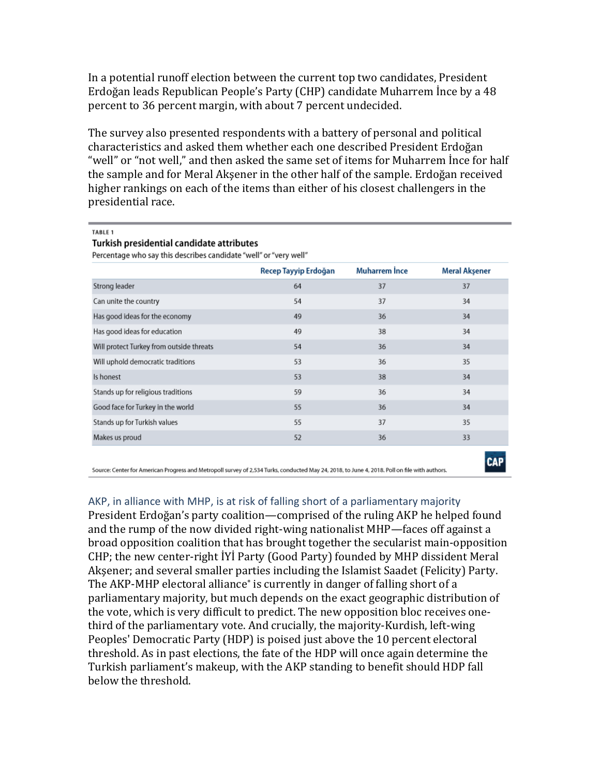In a potential runoff election between the current top two candidates, President Erdoğan leads Republican People's Party (CHP) candidate Muharrem İnce by a 48 percent to 36 percent margin, with about 7 percent undecided.

The survey also presented respondents with a battery of personal and political characteristics and asked them whether each one described President Erdoğan "well" or "not well," and then asked the same set of items for Muharrem İnce for half the sample and for Meral Akşener in the other half of the sample. Erdoğan received higher rankings on each of the items than either of his closest challengers in the presidential race.

TABLE 1

#### Turkish presidential candidate attributes

Percentage who say this describes candidate "well" or "very well"

|                                                                                                                                               | Recep Tayyip Erdoğan | <b>Muharrem Ince</b> | <b>Meral Aksener</b> |
|-----------------------------------------------------------------------------------------------------------------------------------------------|----------------------|----------------------|----------------------|
| Strong leader                                                                                                                                 | 64                   | 37                   | 37                   |
| Can unite the country                                                                                                                         | 54                   | 37                   | 34                   |
| Has good ideas for the economy                                                                                                                | 49                   | 36                   | 34                   |
| Has good ideas for education                                                                                                                  | 49                   | 38                   | 34                   |
| Will protect Turkey from outside threats                                                                                                      | 54                   | 36                   | 34                   |
| Will uphold democratic traditions                                                                                                             | 53                   | 36                   | 35                   |
| Is honest                                                                                                                                     | 53                   | 38                   | 34                   |
| Stands up for religious traditions                                                                                                            | 59                   | 36                   | 34                   |
| Good face for Turkey in the world                                                                                                             | 55                   | 36                   | 34                   |
| Stands up for Turkish values                                                                                                                  | 55                   | 37                   | 35                   |
| Makes us proud                                                                                                                                | 52                   | 36                   | 33                   |
| Source: Center for American Progress and Metropoll survey of 2,534 Turks, conducted May 24, 2018, to June 4, 2018. Poll on file with authors. |                      |                      |                      |

## AKP, in alliance with MHP, is at risk of falling short of a parliamentary majority

President Erdoğan's party coalition—comprised of the ruling AKP he helped found and the rump of the now divided right-wing nationalist MHP—faces off against a broad opposition coalition that has brought together the secularist main-opposition CHP; the new center-right İYİ Party (Good Party) founded by MHP dissident Meral Akşener; and several smaller parties including the Islamist Saadet (Felicity) Party. The AKP-MHP electoral alliance<sup>\*</sup> is currently in danger of falling short of a parliamentary majority, but much depends on the exact geographic distribution of the vote, which is very difficult to predict. The new opposition bloc receives onethird of the parliamentary vote. And crucially, the majority-Kurdish, left-wing Peoples' Democratic Party (HDP) is poised just above the 10 percent electoral threshold. As in past elections, the fate of the HDP will once again determine the Turkish parliament's makeup, with the AKP standing to benefit should HDP fall below the threshold.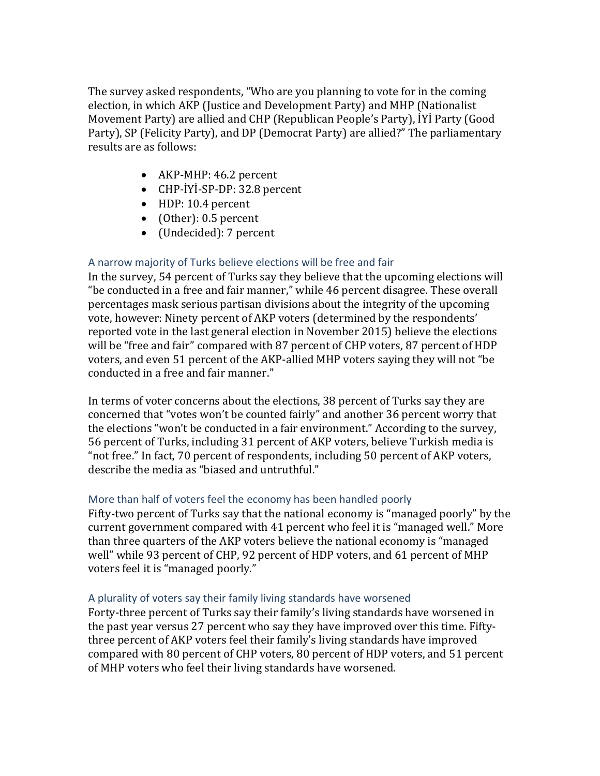The survey asked respondents, "Who are you planning to vote for in the coming election, in which AKP (Justice and Development Party) and MHP (Nationalist Movement Party) are allied and CHP (Republican People's Party), İYİ Party (Good Party), SP (Felicity Party), and DP (Democrat Party) are allied?" The parliamentary results are as follows:

- AKP-MHP: 46.2 percent
- CHP-İYİ-SP-DP: 32.8 percent
- HDP: 10.4 percent
- (Other): 0.5 percent
- (Undecided): 7 percent

# A narrow majority of Turks believe elections will be free and fair

In the survey, 54 percent of Turks say they believe that the upcoming elections will "be conducted in a free and fair manner," while 46 percent disagree. These overall percentages mask serious partisan divisions about the integrity of the upcoming vote, however: Ninety percent of AKP voters (determined by the respondents' reported vote in the last general election in November 2015) believe the elections will be "free and fair" compared with 87 percent of CHP voters, 87 percent of HDP voters, and even 51 percent of the AKP-allied MHP voters saying they will not "be conducted in a free and fair manner."

In terms of voter concerns about the elections, 38 percent of Turks say they are concerned that "votes won't be counted fairly" and another 36 percent worry that the elections "won't be conducted in a fair environment." According to the survey, 56 percent of Turks, including 31 percent of AKP voters, believe Turkish media is "not free." In fact, 70 percent of respondents, including 50 percent of AKP voters, describe the media as "biased and untruthful."

# More than half of voters feel the economy has been handled poorly

Fifty-two percent of Turks say that the national economy is "managed poorly" by the current government compared with 41 percent who feel it is "managed well." More than three quarters of the AKP voters believe the national economy is "managed well" while 93 percent of CHP, 92 percent of HDP voters, and 61 percent of MHP voters feel it is "managed poorly."

## A plurality of voters say their family living standards have worsened

Forty-three percent of Turks say their family's living standards have worsened in the past year versus 27 percent who say they have improved over this time. Fiftythree percent of AKP voters feel their family's living standards have improved compared with 80 percent of CHP voters, 80 percent of HDP voters, and 51 percent of MHP voters who feel their living standards have worsened.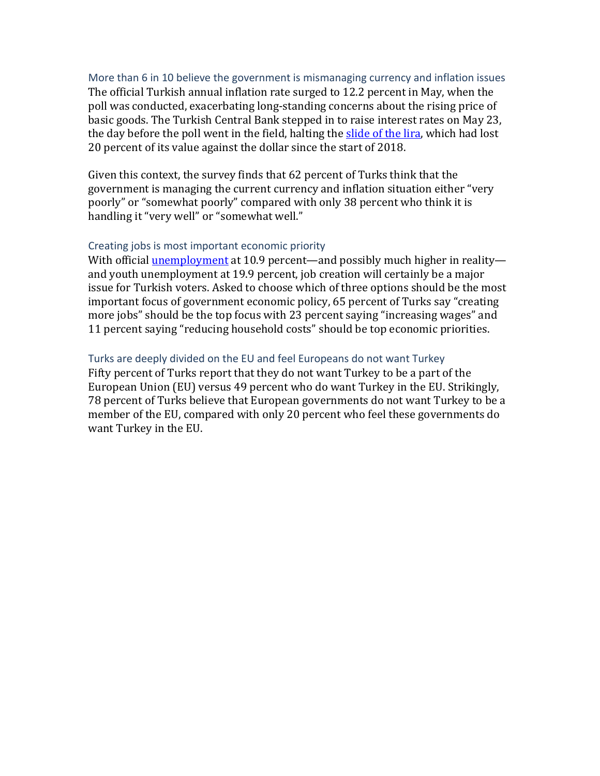More than 6 in 10 believe the government is mismanaging currency and inflation issues The official Turkish annual inflation rate surged to 12.2 percent in May, when the poll was conducted, exacerbating long-standing concerns about the rising price of basic goods. The Turkish Central Bank stepped in to raise interest rates on May 23, the day before the poll went in the field, halting the [slide of the lira,](https://www.bloomberg.com/news/articles/2018-06-04/turkish-inflation-accelerates-more-than-expected-on-weak-lira) which had lost 20 percent of its value against the dollar since the start of 2018.

Given this context, the survey finds that 62 percent of Turks think that the government is managing the current currency and inflation situation either "very poorly" or "somewhat poorly" compared with only 38 percent who think it is handling it "very well" or "somewhat well."

#### Creating jobs is most important economic priority

With official [unemployment](http://www.hurriyetdailynews.com/turkeys-unemployment-rate-falls-to-10-8-pct-in-january-130358) at 10.9 percent—and possibly much higher in reality and youth unemployment at 19.9 percent, job creation will certainly be a major issue for Turkish voters. Asked to choose which of three options should be the most important focus of government economic policy, 65 percent of Turks say "creating more jobs" should be the top focus with 23 percent saying "increasing wages" and 11 percent saying "reducing household costs" should be top economic priorities.

# Turks are deeply divided on the EU and feel Europeans do not want Turkey

Fifty percent of Turks report that they do not want Turkey to be a part of the European Union (EU) versus 49 percent who do want Turkey in the EU. Strikingly, 78 percent of Turks believe that European governments do not want Turkey to be a member of the EU, compared with only 20 percent who feel these governments do want Turkey in the EU.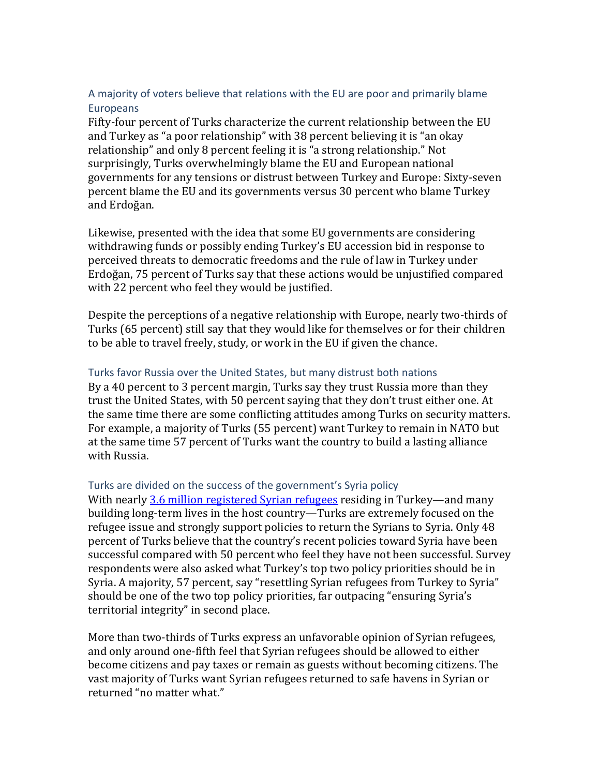# A majority of voters believe that relations with the EU are poor and primarily blame Europeans

Fifty-four percent of Turks characterize the current relationship between the EU and Turkey as "a poor relationship" with 38 percent believing it is "an okay relationship" and only 8 percent feeling it is "a strong relationship." Not surprisingly, Turks overwhelmingly blame the EU and European national governments for any tensions or distrust between Turkey and Europe: Sixty-seven percent blame the EU and its governments versus 30 percent who blame Turkey and Erdoğan.

Likewise, presented with the idea that some EU governments are considering withdrawing funds or possibly ending Turkey's EU accession bid in response to perceived threats to democratic freedoms and the rule of law in Turkey under Erdoğan, 75 percent of Turks say that these actions would be unjustified compared with 22 percent who feel they would be justified.

Despite the perceptions of a negative relationship with Europe, nearly two-thirds of Turks (65 percent) still say that they would like for themselves or for their children to be able to travel freely, study, or work in the EU if given the chance.

# Turks favor Russia over the United States, but many distrust both nations

By a 40 percent to 3 percent margin, Turks say they trust Russia more than they trust the United States, with 50 percent saying that they don't trust either one. At the same time there are some conflicting attitudes among Turks on security matters. For example, a majority of Turks (55 percent) want Turkey to remain in NATO but at the same time 57 percent of Turks want the country to build a lasting alliance with Russia.

## Turks are divided on the success of the government's Syria policy

With nearly [3.6 million registered Syrian refugees](https://data2.unhcr.org/en/situations/syria/location/113) residing in Turkey—and many building long-term lives in the host country—Turks are extremely focused on the refugee issue and strongly support policies to return the Syrians to Syria. Only 48 percent of Turks believe that the country's recent policies toward Syria have been successful compared with 50 percent who feel they have not been successful. Survey respondents were also asked what Turkey's top two policy priorities should be in Syria. A majority, 57 percent, say "resettling Syrian refugees from Turkey to Syria" should be one of the two top policy priorities, far outpacing "ensuring Syria's territorial integrity" in second place.

More than two-thirds of Turks express an unfavorable opinion of Syrian refugees, and only around one-fifth feel that Syrian refugees should be allowed to either become citizens and pay taxes or remain as guests without becoming citizens. The vast majority of Turks want Syrian refugees returned to safe havens in Syrian or returned "no matter what."